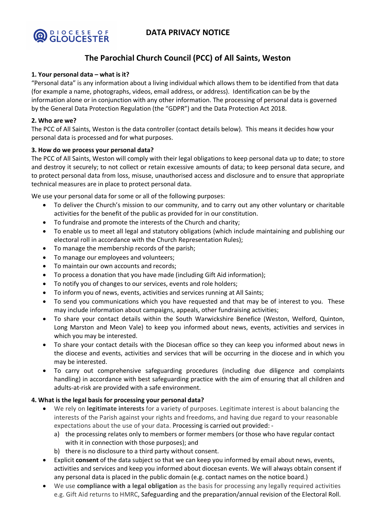# **DATA PRIVACY NOTICE**



# **The Parochial Church Council (PCC) of All Saints, Weston**

## **1. Your personal data – what is it?**

"Personal data" is any information about a living individual which allows them to be identified from that data (for example a name, photographs, videos, email address, or address). Identification can be by the information alone or in conjunction with any other information. The processing of personal data is governed by the General Data Protection Regulation (the "GDPR") and the Data Protection Act 2018.

### **2. Who are we?**

The PCC of All Saints, Weston is the data controller (contact details below). This means it decides how your personal data is processed and for what purposes.

## **3. How do we process your personal data?**

The PCC of All Saints, Weston will comply with their legal obligations to keep personal data up to date; to store and destroy it securely; to not collect or retain excessive amounts of data; to keep personal data secure, and to protect personal data from loss, misuse, unauthorised access and disclosure and to ensure that appropriate technical measures are in place to protect personal data.

We use your personal data for some or all of the following purposes:

- To deliver the Church's mission to our community, and to carry out any other voluntary or charitable activities for the benefit of the public as provided for in our constitution.
- To fundraise and promote the interests of the Church and charity;
- To enable us to meet all legal and statutory obligations (which include maintaining and publishing our electoral roll in accordance with the Church Representation Rules);
- To manage the membership records of the parish;
- To manage our employees and volunteers;
- To maintain our own accounts and records;
- To process a donation that you have made (including Gift Aid information);
- To notify you of changes to our services, events and role holders;
- To inform you of news, events, activities and services running at All Saints;
- To send you communications which you have requested and that may be of interest to you. These may include information about campaigns, appeals, other fundraising activities;
- To share your contact details within the South Warwickshire Benefice (Weston, Welford, Quinton, Long Marston and Meon Vale) to keep you informed about news, events, activities and services in which you may be interested.
- To share your contact details with the Diocesan office so they can keep you informed about news in the diocese and events, activities and services that will be occurring in the diocese and in which you may be interested.
- To carry out comprehensive safeguarding procedures (including due diligence and complaints handling) in accordance with best safeguarding practice with the aim of ensuring that all children and adults-at-risk are provided with a safe environment.

#### **4. What is the legal basis for processing your personal data?**

- We rely on **legitimate interests** for a variety of purposes. Legitimate interest is about balancing the interests of the Parish against your rights and freedoms, and having due regard to your reasonable expectations about the use of your data. Processing is carried out provided:
	- a) the processing relates only to members or former members (or those who have regular contact with it in connection with those purposes); and
	- b) there is no disclosure to a third party without consent.
- Explicit **consent** of the data subject so that we can keep you informed by email about news, events, activities and services and keep you informed about diocesan events. We will always obtain consent if any personal data is placed in the public domain (e.g. contact names on the notice board.)
- We use **compliance with a legal obligation** as the basis for processing any legally required activities e.g. Gift Aid returns to HMRC, Safeguarding and the preparation/annual revision of the Electoral Roll.